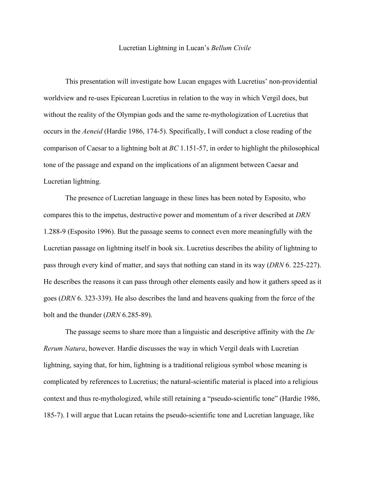## Lucretian Lightning in Lucan's *Bellum Civile*

This presentation will investigate how Lucan engages with Lucretius' non-providential worldview and re-uses Epicurean Lucretius in relation to the way in which Vergil does, but without the reality of the Olympian gods and the same re-mythologization of Lucretius that occurs in the *Aeneid* (Hardie 1986, 174-5). Specifically, I will conduct a close reading of the comparison of Caesar to a lightning bolt at *BC* 1.151-57, in order to highlight the philosophical tone of the passage and expand on the implications of an alignment between Caesar and Lucretian lightning.

The presence of Lucretian language in these lines has been noted by Esposito, who compares this to the impetus, destructive power and momentum of a river described at *DRN* 1.288-9 (Esposito 1996). But the passage seems to connect even more meaningfully with the Lucretian passage on lightning itself in book six. Lucretius describes the ability of lightning to pass through every kind of matter, and says that nothing can stand in its way (*DRN* 6. 225-227). He describes the reasons it can pass through other elements easily and how it gathers speed as it goes (*DRN* 6. 323-339). He also describes the land and heavens quaking from the force of the bolt and the thunder (*DRN* 6.285-89).

The passage seems to share more than a linguistic and descriptive affinity with the *De Rerum Natura*, however. Hardie discusses the way in which Vergil deals with Lucretian lightning, saying that, for him, lightning is a traditional religious symbol whose meaning is complicated by references to Lucretius; the natural-scientific material is placed into a religious context and thus re-mythologized, while still retaining a "pseudo-scientific tone" (Hardie 1986, 185-7). I will argue that Lucan retains the pseudo-scientific tone and Lucretian language, like